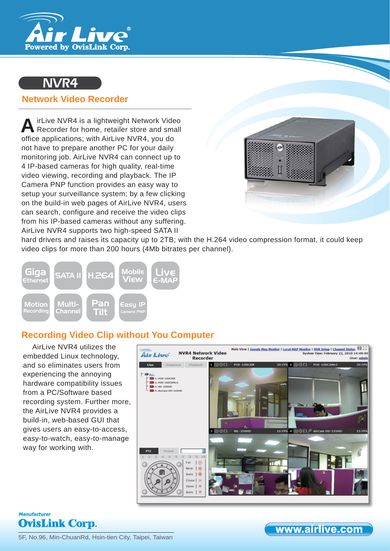

# NVR4

### **Network Video Recorder**

irLive NVR4 is a lightweight Network Video A irLive NVR4 is a lightweight Network Video<br>Recorder for home, retailer store and small office applications; with AirLive NVR4, you do not have to prepare another PC for your daily monitoring job. AirLive NVR4 can connect up to 4 IP-based cameras for high quality, real-time video viewing, recording and playback. The IP Camera PNP function provides an easy way to setup your surveillance system; by a few clicking on the build-in web pages of AirLive NVR4, users can search, configure and receive the video clips from his IP-based cameras without any suffering. AirLive NVR4 supports two high-speed SATA II



hard drivers and raises its capacity up to 2TB; with the H.264 video compression format, it could keep video clips for more than 200 hours (4Mb bitrates per channel).



## **Recording Video Clip without You Computer**

AirLive NVR4 utilizes the embedded Linux technology, and so eliminates users from experiencing the annoying hardware compatibility issues from a PC/Software based recording system. Further more, the AirLive NVR4 provides a build-in, web-based GUI that gives users an easy-to-access, easy-to-watch, easy-to-manage way for working with.





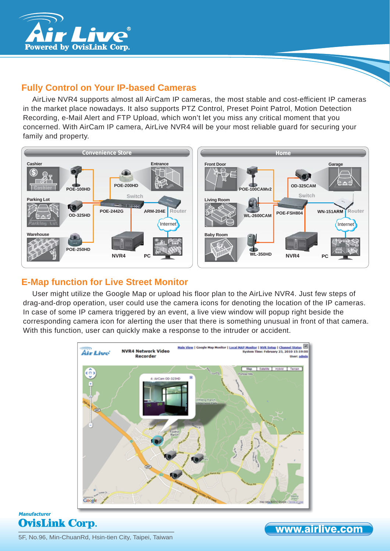

## **Fully Control on Your IP-based Cameras**

AirLive NVR4 supports almost all AirCam IP cameras, the most stable and cost-efficient IP cameras in the market place nowadays. It also supports PTZ Control, Preset Point Patrol, Motion Detection Recording, e-Mail Alert and FTP Upload, which won't let you miss any critical moment that you concerned. With AirCam IP camera, AirLive NVR4 will be your most reliable guard for securing your family and property.



### **E-Map function for Live Street Monitor**

User might utilize the Google Map or upload his floor plan to the AirLive NVR4. Just few steps of drag-and-drop operation, user could use the camera icons for denoting the location of the IP cameras. In case of some IP camera triggered by an event, a live view window will popup right beside the corresponding camera icon for alerting the user that there is something unusual in front of that camera. With this function, user can quickly make a response to the intruder or accident.



### **Manufacturer OvisLink Corp.**

5F, No.96, Min-ChuanRd, Hsin-tien City, Taipei, Taiwan

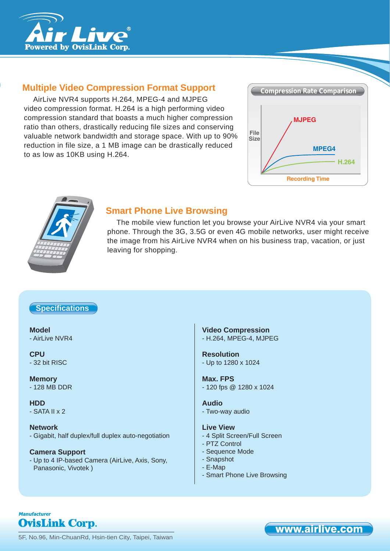

## **Multiple Video Compression Format Support**

AirLive NVR4 supports H.264, MPEG-4 and MJPEG video compression format. H.264 is a high performing video compression standard that boasts a much higher compression ratio than others, drastically reducing file sizes and conserving valuable network bandwidth and storage space. With up to 90% reduction in file size, a 1 MB image can be drastically reduced to as low as 10KB using H.264.





### **Smart Phone Live Browsing**

The mobile view function let you browse your AirLive NVR4 via your smart phone. Through the 3G, 3.5G or even 4G mobile networks, user might receive the image from his AirLive NVR4 when on his business trap, vacation, or just leaving for shopping.

### **Specifi cations**

**Model** - AirLive NVR4

**CPU** - 32 bit RISC

**Memory** - 128 MB DDR

**HDD** - SATA II x 2

**Network**

- Gigabit, half duplex/full duplex auto-negotiation

#### **Camera Support**

- Up to 4 IP-based Camera (AirLive, Axis, Sony, Panasonic, Vivotek )

**Video Compression** - H.264, MPEG-4, MJPEG

**Resolution** - Up to 1280 x 1024

**Max. FPS** - 120 fps @ 1280 x 1024

**Audio** - Two-way audio

#### **Live View**

- 4 Split Screen/Full Screen
- PTZ Control
- Sequence Mode
- Snapshot
- E-Map
- Smart Phone Live Browsing

### **Manufacturer OvisLink Corp.**

5F, No.96, Min-ChuanRd, Hsin-tien City, Taipei, Taiwan

www.airlive.com